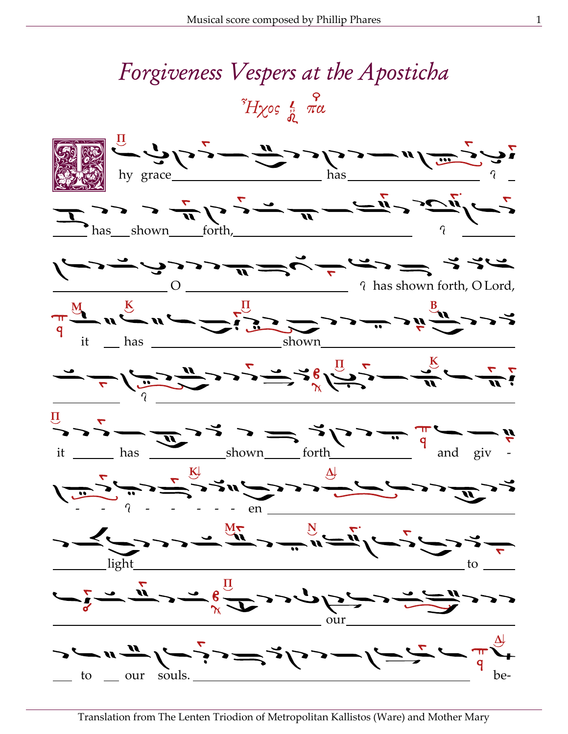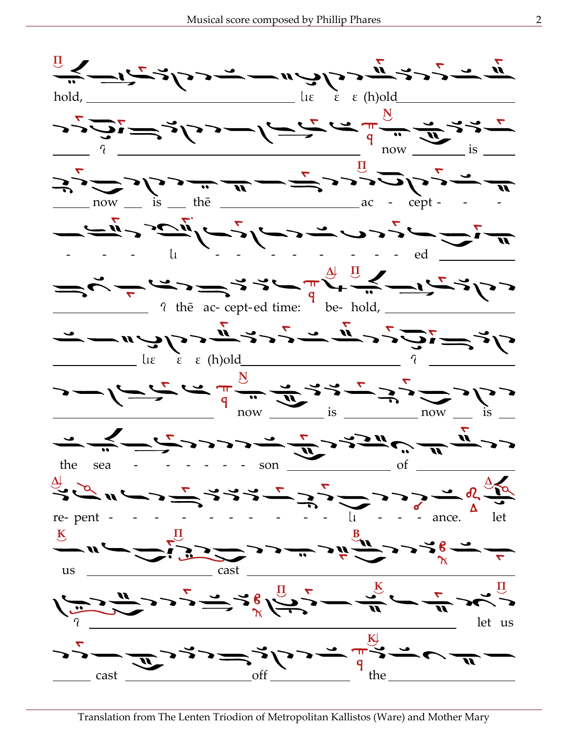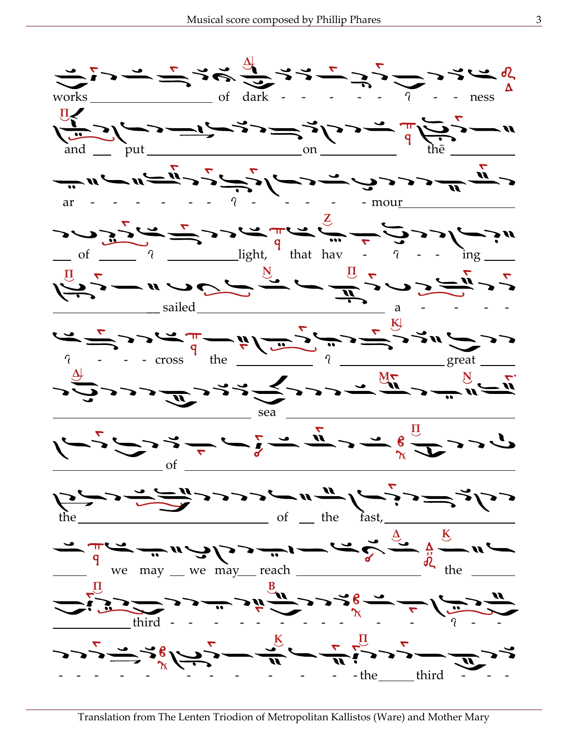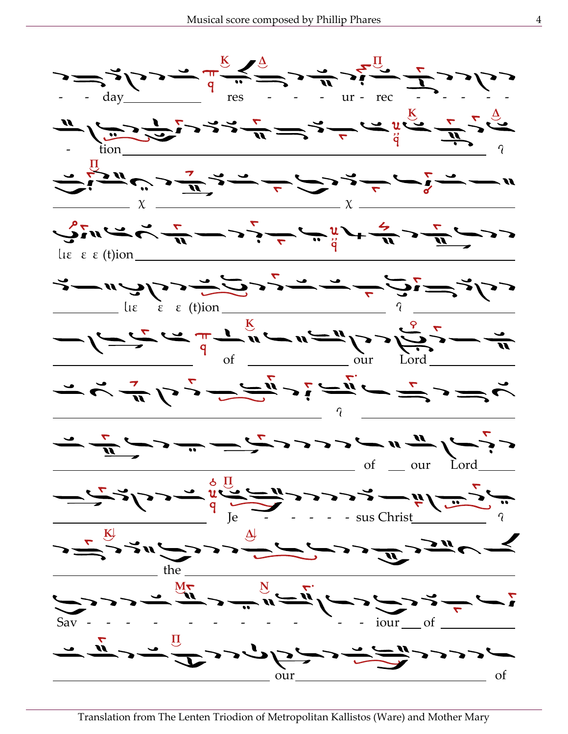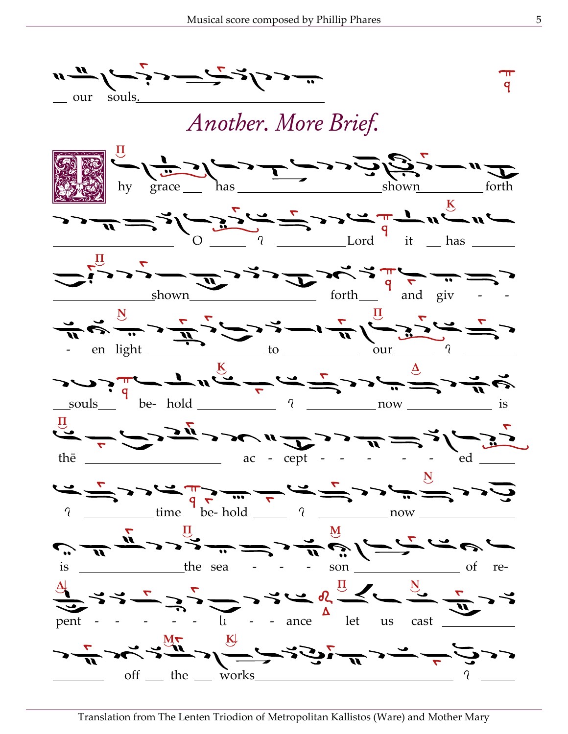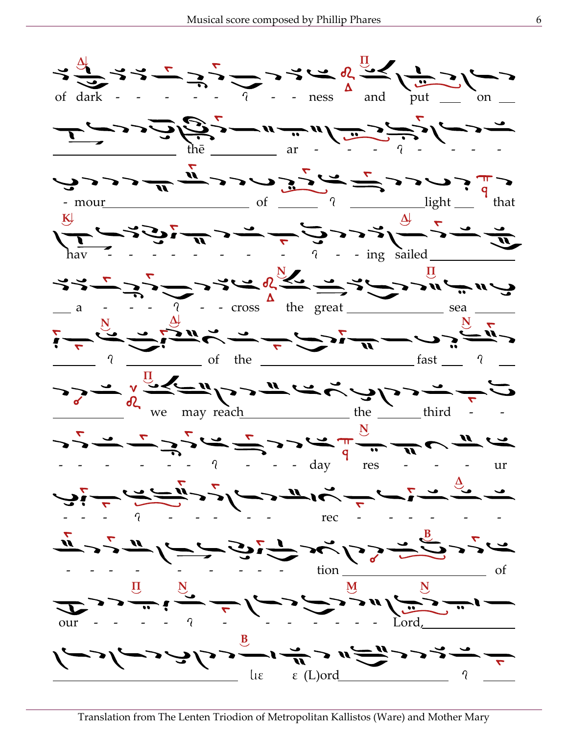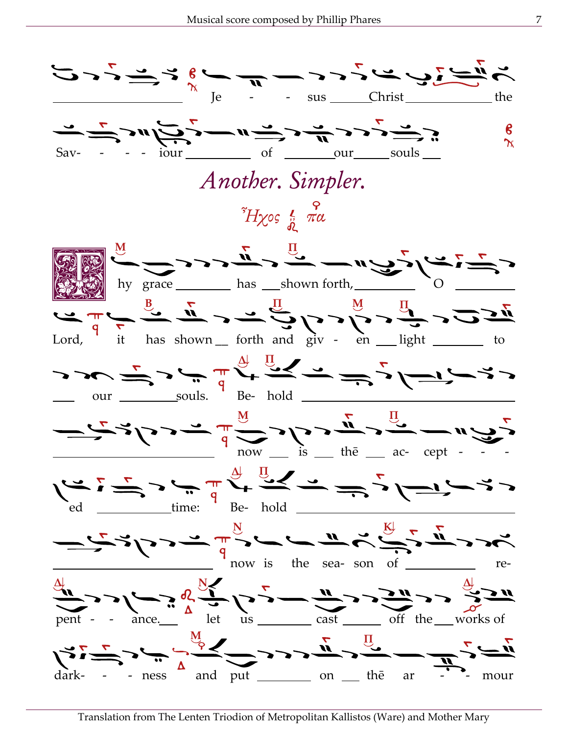